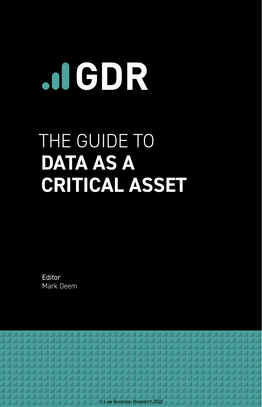# JIGDR

# THE GUIDE TO **DATA AS A CRITICAL ASSET**

Editor Mark Deem

al al ان ان ان ان ای ای ان ان ان ان ان ان ان ان المراق امراق امراق امراق امراق امراق امراق امراق امراق امراق امر المرام المرام المرام المرام المرام .d. 16. 16. 16. 16 .d., lr. lr. lr. © Law Business Research 2022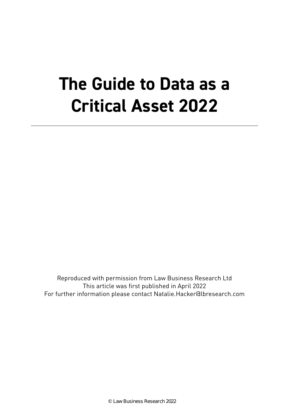# **The Guide to Data as a Critical Asset 2022**

Reproduced with permission from Law Business Research Ltd This article was first published in April 2022 For further information please contact Natalie.Hacker@lbresearch.com

© Law Business Research 2022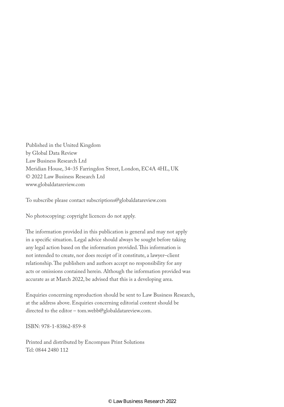Published in the United Kingdom by Global Data Review Law Business Research Ltd Meridian House, 34–35 Farringdon Street, London, EC4A 4HL, UK © 2022 Law Business Research Ltd www.globaldatareview.com

To subscribe please contact subscriptions@globaldatareview.com

No photocopying: copyright licences do not apply.

The information provided in this publication is general and may not apply in a specific situation. Legal advice should always be sought before taking any legal action based on the information provided. This information is not intended to create, nor does receipt of it constitute, a lawyer–client relationship. The publishers and authors accept no responsibility for any acts or omissions contained herein. Although the information provided was accurate as at March 2022, be advised that this is a developing area.

Enquiries concerning reproduction should be sent to Law Business Research, at the address above. Enquiries concerning editorial content should be directed to the editor – tom.webb@globaldatareview.com.

ISBN: 978-1-83862-859-8

Printed and distributed by Encompass Print Solutions Tel: 0844 2480 112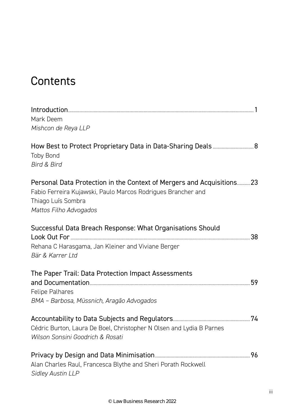## Contents

| Mark Deem                                                                                                                                                                              |  |
|----------------------------------------------------------------------------------------------------------------------------------------------------------------------------------------|--|
| Mishcon de Reya LLP                                                                                                                                                                    |  |
| <b>Toby Bond</b><br><b>Bird &amp; Bird</b>                                                                                                                                             |  |
| Personal Data Protection in the Context of Mergers and Acquisitions 23<br>Fabio Ferreira Kujawski, Paulo Marcos Rodrigues Brancher and<br>Thiago Luís Sombra<br>Mattos Filho Advogados |  |
| Successful Data Breach Response: What Organisations Should<br>Rehana C Harasgama, Jan Kleiner and Viviane Berger<br>Bär & Karrer Ltd                                                   |  |
| The Paper Trail: Data Protection Impact Assessments<br><b>Felipe Palhares</b><br>BMA - Barbosa, Müssnich, Aragão Advogados                                                             |  |
| Cédric Burton, Laura De Boel, Christopher N Olsen and Lydia B Parnes<br>Wilson Sonsini Goodrich & Rosati                                                                               |  |
| Alan Charles Raul, Francesca Blythe and Sheri Porath Rockwell<br>Sidley Austin LLP                                                                                                     |  |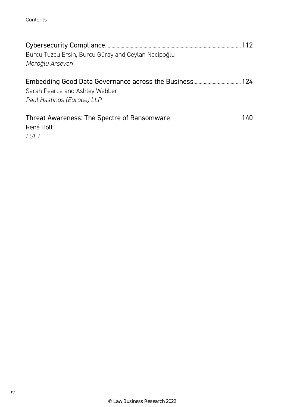Contents

| Burcu Tuzcu Ersin, Burcu Güray and Ceylan Necipoğlu<br>Moroğlu Arseven | 112 |
|------------------------------------------------------------------------|-----|
| Sarah Pearce and Ashley Webber<br>Paul Hastings (Europe) LLP           |     |
| René Holt<br>FSFT                                                      |     |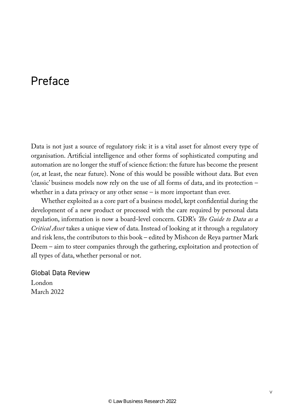### Preface

Data is not just a source of regulatory risk: it is a vital asset for almost every type of organisation. Artificial intelligence and other forms of sophisticated computing and automation are no longer the stuff of science fiction: the future has become the present (or, at least, the near future). None of this would be possible without data. But even 'classic' business models now rely on the use of all forms of data, and its protection – whether in a data privacy or any other sense – is more important than ever.

Whether exploited as a core part of a business model, kept confidential during the development of a new product or processed with the care required by personal data regulation, information is now a board-level concern. GDR's *The Guide to Data as a Critical Asset* takes a unique view of data. Instead of looking at it through a regulatory and risk lens, the contributors to this book – edited by Mishcon de Reya partner Mark Deem – aim to steer companies through the gathering, exploitation and protection of all types of data, whether personal or not.

Global Data Review London March 2022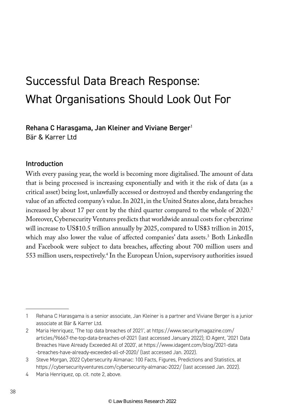## Successful Data Breach Response: What Organisations Should Look Out For

Rehana C Harasgama, Jan Kleiner and Viviane Berger<sup>1</sup> Bär & Karrer Ltd

#### Introduction

With every passing year, the world is becoming more digitalised. The amount of data that is being processed is increasing exponentially and with it the risk of data (as a critical asset) being lost, unlawfully accessed or destroyed and thereby endangering the value of an affected company's value. In 2021, in the United States alone, data breaches increased by about 17 per cent by the third quarter compared to the whole of 2020.<sup>2</sup> Moreover, Cybersecurity Ventures predicts that worldwide annual costs for cybercrime will increase to US\$10.5 trillion annually by 2025, compared to US\$3 trillion in 2015, which may also lower the value of affected companies' data assets.3 Both LinkedIn and Facebook were subject to data breaches, affecting about 700 million users and 553 million users, respectively.4 In the European Union, supervisory authorities issued

<sup>1</sup> Rehana C Harasgama is a senior associate, Jan Kleiner is a partner and Viviane Berger is a junior associate at Bär & Karrer Ltd.

<sup>2</sup> Maria Henriquez, 'The top data breaches of 2021', at https://www.securitymagazine.com/ articles/96667-the-top-data-breaches-of-2021 (last accessed January 2022); ID Agent, '2021 Data Breaches Have Already Exceeded All of 2020', at https://www.idagent.com/blog/2021-data -breaches-have-already-exceeded-all-of-2020/ (last accessed Jan. 2022).

<sup>3</sup> Steve Morgan, 2022 Cybersecurity Almanac: 100 Facts, Figures, Predictions and Statistics, at https://cybersecurityventures.com/cybersecurity-almanac-2022/ (last accessed Jan. 2022).

<sup>4</sup> Maria Henriquez, op. cit. note 2, above.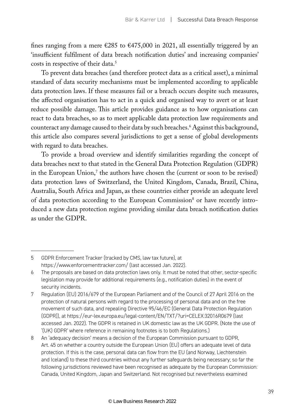fines ranging from a mere €285 to €475,000 in 2021, all essentially triggered by an 'insufficient fulfilment of data breach notification duties' and increasing companies' costs in respective of their data.<sup>5</sup>

To prevent data breaches (and therefore protect data as a critical asset), a minimal standard of data security mechanisms must be implemented according to applicable data protection laws. If these measures fail or a breach occurs despite such measures, the affected organisation has to act in a quick and organised way to avert or at least reduce possible damage. This article provides guidance as to how organisations can react to data breaches, so as to meet applicable data protection law requirements and counteract any damage caused to their data by such breaches.6 Against this background, this article also compares several jurisdictions to get a sense of global developments with regard to data breaches.

To provide a broad overview and identify similarities regarding the concept of data breaches next to that stated in the General Data Protection Regulation (GDPR) in the European Union, $\frac{7}{1}$  the authors have chosen the (current or soon to be revised) data protection laws of Switzerland, the United Kingdom, Canada, Brazil, China, Australia, South Africa and Japan, as these countries either provide an adequate level of data protection according to the European Commission<sup>8</sup> or have recently introduced a new data protection regime providing similar data breach notification duties as under the GDPR.

<sup>5</sup> GDPR Enforcement Tracker (tracked by CMS, law tax future), at https://www.enforcementtracker.com/ (last accessed Jan. 2022).

<sup>6</sup> The proposals are based on data protection laws only. It must be noted that other, sector-specific legislation may provide for additional requirements (e.g., notification duties) in the event of security incidents.

<sup>7</sup> Regulation (EU) 2016/679 of the European Parliament and of the Council of 27 April 2016 on the protection of natural persons with regard to the processing of personal data and on the free movement of such data, and repealing Directive 95/46/EC (General Data Protection Regulation (GDPR)), at https://eur-lex.europa.eu/legal-content/EN/TXT/?uri=CELEX:32016R0679 (last accessed Jan. 2022). The GDPR is retained in UK domestic law as the UK GDPR. (Note the use of '(UK) GDPR' where reference in remaining footnotes is to both Regulations.)

<sup>8</sup> An 'adequacy decision' means a decision of the European Commission pursuant to GDPR, Art. 45 on whether a country outside the European Union (EU) offers an adequate level of data protection. If this is the case, personal data can flow from the EU (and Norway, Liechtenstein and Iceland) to these third countries without any further safeguards being necessary; so far the following jurisdictions reviewed have been recognised as adequate by the European Commission: Canada, United Kingdom, Japan and Switzerland. Not recognised but nevertheless examined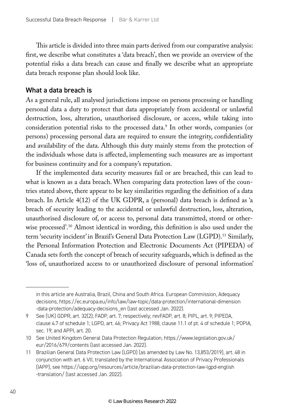This article is divided into three main parts derived from our comparative analysis: first, we describe what constitutes a 'data breach', then we provide an overview of the potential risks a data breach can cause and finally we describe what an appropriate data breach response plan should look like.

#### What a data breach is

As a general rule, all analysed jurisdictions impose on persons processing or handling personal data a duty to protect that data appropriately from accidental or unlawful destruction, loss, alteration, unauthorised disclosure, or access, while taking into consideration potential risks to the processed data.<sup>9</sup> In other words, companies (or persons) processing personal data are required to ensure the integrity, confidentiality and availability of the data. Although this duty mainly stems from the protection of the individuals whose data is affected, implementing such measures are as important for business continuity and for a company's reputation.

If the implemented data security measures fail or are breached, this can lead to what is known as a data breach. When comparing data protection laws of the countries stated above, there appear to be key similarities regarding the definition of a data breach. In Article 4(12) of the UK GDPR, a (personal) data breach is defined as 'a breach of security leading to the accidental or unlawful destruction, loss, alteration, unauthorised disclosure of, or access to, personal data transmitted, stored or otherwise processed'.10 Almost identical in wording, this definition is also used under the term 'security incident' in Brazil's General Data Protection Law (LGPD).<sup>11</sup> Similarly, the Personal Information Protection and Electronic Documents Act (PIPEDA) of Canada sets forth the concept of breach of security safeguards, which is defined as the 'loss of, unauthorized access to or unauthorized disclosure of personal information'

in this article are Australia, Brazil, China and South Africa. European Commission, Adequacy decisions, https://ec.europa.eu/info/law/law-topic/data-protection/international-dimension -data-protection/adequacy-decisions\_en (last accessed Jan. 2022).

<sup>9</sup> See (UK) GDPR, art. 32(2); FADP, art. 7; respectively; revFADP, art. 8; PIPL, art. 9; PIPEDA, clause 4.7 of schedule 1; LGPD, art. 46; Privacy Act 1988, clause 11.1 of pt. 4 of schedule 1; POPIA, sec. 19; and APPI, art. 20.

<sup>10</sup> See United Kingdom General Data Protection Regulation, https://www.legislation.gov.uk/ eur/2016/679/contents (last accessed Jan. 2022).

<sup>11</sup> Brazilian General Data Protection Law (LGPD) (as amended by Law No. 13,853/2019), art. 48 in conjunction with art. 6 VII, translated by the International Association of Privacy Professionals (IAPP), see https://iapp.org/resources/article/brazilian-data-protection-law-lgpd-english -translation/ (last accessed Jan. 2022).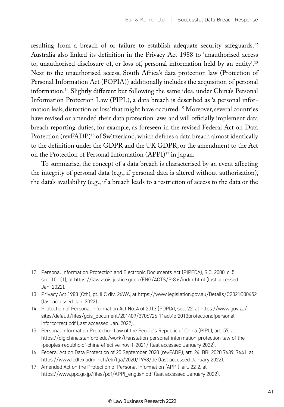resulting from a breach of or failure to establish adequate security safeguards.12 Australia also linked its definition in the Privacy Act 1988 to 'unauthorised access to, unauthorised disclosure of, or loss of, personal information held by an entity'.13 Next to the unauthorised access, South Africa's data protection law (Protection of Personal Information Act (POPIA)) additionally includes the acquisition of personal information.14 Slightly different but following the same idea, under China's Personal Information Protection Law (PIPL), a data breach is described as 'a personal information leak, distortion or loss' that might have occurred.<sup>15</sup> Moreover, several countries have revised or amended their data protection laws and will officially implement data breach reporting duties, for example, as foreseen in the revised Federal Act on Data Protection (revFADP)<sup>16</sup> of Switzerland, which defines a data breach almost identically to the definition under the GDPR and the UK GDPR, or the amendment to the Act on the Protection of Personal Information (APPI)17 in Japan.

To summarise, the concept of a data breach is characterised by an event affecting the integrity of personal data (e.g., if personal data is altered without authorisation), the data's availability (e.g., if a breach leads to a restriction of access to the data or the

<sup>12</sup> Personal Information Protection and Electronic Documents Act (PIPEDA), S.C. 2000, c. 5, sec. 10.1(1), at https://laws-lois.justice.gc.ca/ENG/ACTS/P-8.6/index.html (last accessed Jan. 2022).

<sup>13</sup> Privacy Act 1988 (Cth), pt. IIIC div. 26WA, at https://www.legislation.gov.au/Details/C2021C00452 (last accessed Jan. 2022).

<sup>14</sup> Protection of Personal Information Act No. 4 of 2013 (POPIA), sec. 22, at https://www.gov.za/ sites/default/files/gcis\_document/201409/3706726-11act4of2013protectionofpersonal inforcorrect.pdf (last accessed Jan. 2022).

<sup>15</sup> Personal Information Protection Law of the People's Republic of China (PIPL), art. 57, at https://digichina.stanford.edu/work/translation-personal-information-protection-law-of-the -peoples-republic-of-china-effective-nov-1-2021/ (last accessed January 2022).

<sup>16</sup> Federal Act on Data Protection of 25 September 2020 (revFADP), art. 24, BBl 2020 7639, 7641, at https://www.fedlex.admin.ch/eli/fga/2020/1998/de (last accessed January 2022).

<sup>17</sup> Amended Act on the Protection of Personal Information (APPI), art. 22-2, at https://www.ppc.go.jp/files/pdf/APPI\_english.pdf (last accessed January 2022).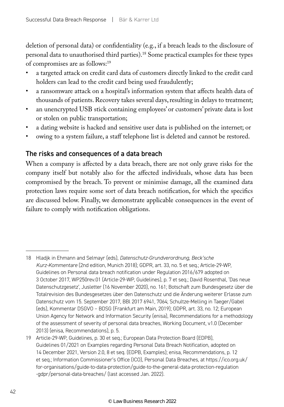deletion of personal data) or confidentiality (e.g., if a breach leads to the disclosure of personal data to unauthorised third parties).18 Some practical examples for these types of compromises are as follows:19

- a targeted attack on credit card data of customers directly linked to the credit card holders can lead to the credit card being used fraudulently;
- a ransomware attack on a hospital's information system that affects health data of thousands of patients. Recovery takes several days, resulting in delays to treatment;
- an unencrypted USB stick containing employees' or customers' private data is lost or stolen on public transportation;
- a dating website is hacked and sensitive user data is published on the internet; or
- owing to a system failure, a staff telephone list is deleted and cannot be restored.

#### The risks and consequences of a data breach

When a company is affected by a data breach, there are not only grave risks for the company itself but notably also for the affected individuals, whose data has been compromised by the breach. To prevent or minimise damage, all the examined data protection laws require some sort of data breach notification, for which the specifics are discussed below. Finally, we demonstrate applicable consequences in the event of failure to comply with notification obligations.

<sup>18</sup> Hladjk in Ehmann and Selmayr (eds), *Datenschutz-Grundverordnung, Beck'sche Kurz-Kommentare* (2nd edition, Munich 2018); GDPR, art. 33, no. 5 et seq.; Article-29-WP, Guidelines on Personal data breach notification under Regulation 2016/679 adopted on 3 October 2017, WP250rev.01 (Article-29-WP, Guidelines), p. 7 et seq.; David Rosenthal, 'Das neue Datenschutzgesetz', Jusletter (16 November 2020), no. 161; Botschaft zum Bundesgesetz über die Totalrevision des Bundesgesetzes über den Datenschutz und die Änderung weiterer Erlasse zum Datenschutz vom 15. September 2017, BBl 2017 6941, 7064; Schultze-Melling in Taeger/Gabel (eds), Kommentar DSGVO – BDSG (Frankfurt am Main, 2019); GDPR, art. 33, no. 12; European Union Agency for Network and Information Security (enisa), Recommendations for a methodology of the assessment of severity of personal data breaches, Working Document, v1.0 (December 2013) (enisa, Recommendations), p. 5.

<sup>19</sup> Article-29-WP, Guidelines, p. 30 et seq.; European Data Protection Board (EDPB), Guidelines 01/2021 on Examples regarding Personal Data Breach Notification, adopted on 14 December 2021, Version 2.0, 8 et seq. (EDPB, Examples); enisa, Recommendations, p. 12 et seq.; Information Commissioner's Office (ICO), Personal Data Breaches, at https://ico.org.uk/ for-organisations/guide-to-data-protection/guide-to-the-general-data-protection-regulation -gdpr/personal-data-breaches/ (last accessed Jan. 2022).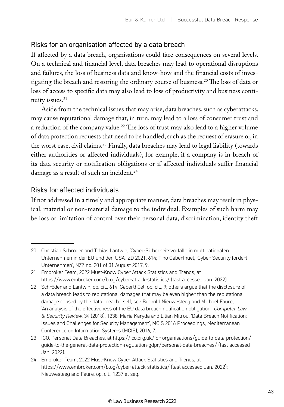#### Risks for an organisation affected by a data breach

If affected by a data breach, organisations could face consequences on several levels. On a technical and financial level, data breaches may lead to operational disruptions and failures, the loss of business data and know-how and the financial costs of investigating the breach and restoring the ordinary course of business.20 The loss of data or loss of access to specific data may also lead to loss of productivity and business continuity issues.<sup>21</sup>

Aside from the technical issues that may arise, data breaches, such as cyberattacks, may cause reputational damage that, in turn, may lead to a loss of consumer trust and a reduction of the company value.<sup>22</sup> The loss of trust may also lead to a higher volume of data protection requests that need to be handled, such as the request of erasure or, in the worst case, civil claims.<sup>23</sup> Finally, data breaches may lead to legal liability (towards either authorities or affected individuals), for example, if a company is in breach of its data security or notification obligations or if affected individuals suffer financial damage as a result of such an incident.<sup>24</sup>

#### Risks for affected individuals

If not addressed in a timely and appropriate manner, data breaches may result in physical, material or non-material damage to the individual. Examples of such harm may be loss or limitation of control over their personal data, discrimination, identity theft

<sup>20</sup> Christian Schröder and Tobias Lantwin, 'Cyber-Sicherheitsvorfälle in multinationalen Unternehmen in der EU und den USA', ZD 2021, 614; Tino Gaberthüel, 'Cyber-Security fordert Unternehmen', NZZ no. 201 of 31 August 2017, 9.

<sup>21</sup> Embroker Team, 2022 Must-Know Cyber Attack Statistics and Trends, at https://www.embroker.com/blog/cyber-attack-statistics/ (last accessed Jan. 2022).

<sup>22</sup> Schröder and Lantwin, op. cit., 614; Gaberthüel, op. cit., 9; others argue that the disclosure of a data breach leads to reputational damages that may be even higher than the reputational damage caused by the data breach itself; see Bernold Nieuwesteeg and Michael Faure, 'An analysis of the effectiveness of the EU data breach notification obligation', *Computer Law & Security Review*, 34 (2018), 1238; Maria Karyda and Lilian Mitrou, 'Data Breach Notification: Issues and Challenges for Security Management', MCIS 2016 Proceedings, Mediterranean Conference on Information Systems (MCIS), 2016, 7.

<sup>23</sup> ICO, Personal Data Breaches, at https://ico.org.uk/for-organisations/guide-to-data-protection/ guide-to-the-general-data-protection-regulation-gdpr/personal-data-breaches/ (last accessed Jan. 2022).

<sup>24</sup> Embroker Team, 2022 Must-Know Cyber Attack Statistics and Trends, at https://www.embroker.com/blog/cyber-attack-statistics/ (last accessed Jan. 2022); Nieuwesteeg and Faure, op. cit., 1237 et seq.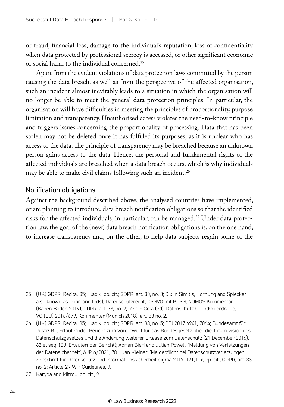or fraud, financial loss, damage to the individual's reputation, loss of confidentiality when data protected by professional secrecy is accessed, or other significant economic or social harm to the individual concerned.25

Apart from the evident violations of data protection laws committed by the person causing the data breach, as well as from the perspective of the affected organisation, such an incident almost inevitably leads to a situation in which the organisation will no longer be able to meet the general data protection principles. In particular, the organisation will have difficulties in meeting the principles of proportionality, purpose limitation and transparency. Unauthorised access violates the need-to-know principle and triggers issues concerning the proportionality of processing. Data that has been stolen may not be deleted once it has fulfilled its purposes, as it is unclear who has access to the data. The principle of transparency may be breached because an unknown person gains access to the data. Hence, the personal and fundamental rights of the affected individuals are breached when a data breach occurs, which is why individuals may be able to make civil claims following such an incident.<sup>26</sup>

#### Notification obligations

Against the background described above, the analysed countries have implemented, or are planning to introduce, data breach notification obligations so that the identified risks for the affected individuals, in particular, can be managed.<sup>27</sup> Under data protection law, the goal of the (new) data breach notification obligations is, on the one hand, to increase transparency and, on the other, to help data subjects regain some of the

<sup>25</sup> (UK) GDPR, Recital 85; Hladjk, op. cit.; GDPR, art. 33, no. 3; Dix in Simitis, Hornung and Spiecker also known as Döhmann (eds), Datenschutzrecht, DSGVO mit BDSG, NOMOS Kommentar (Baden-Baden 2019); GDPR, art. 33, no. 2; Reif in Gola (ed), Datenschutz-Grundverordnung, VO (EU) 2016/679, Kommentar (Munich 2018), art. 33 no. 2.

<sup>26</sup> (UK) GDPR, Recital 85; Hladjk, op. cit.; GDPR, art. 33, no. 5; BBl 2017 6941, 7064; Bundesamt für Justiz BJ, Erläuternder Bericht zum Vorentwurf für das Bundesgesetz über die Totalrevision des Datenschutzgesetzes und die Änderung weiterer Erlasse zum Datenschutz (21 December 2016), 62 et seq. (BJ, Erläuternder Bericht); Adrian Bieri and Julian Powell, 'Meldung von Verletzungen der Datensicherheit', AJP 6/2021, 781; Jan Kleiner, 'Meldepflicht bei Datenschutzverletzungen', Zeitschrift für Datenschutz und Informationssicherheit digma 2017, 171; Dix, op. cit.; GDPR, art. 33, no. 2; Article-29-WP, Guidelines, 9.

<sup>27</sup> Karyda and Mitrou, op. cit., 9.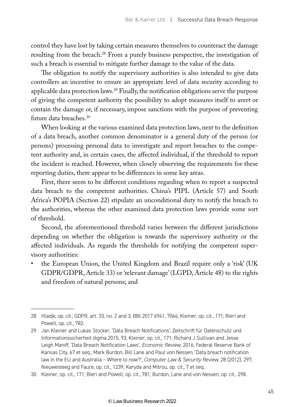control they have lost by taking certain measures themselves to counteract the damage resulting from the breach.<sup>28</sup> From a purely business perspective, the investigation of such a breach is essential to mitigate further damage to the value of the data.

The obligation to notify the supervisory authorities is also intended to give data controllers an incentive to ensure an appropriate level of data security according to applicable data protection laws.<sup>29</sup> Finally, the notification obligations serve the purpose of giving the competent authority the possibility to adopt measures itself to avert or contain the damage or, if necessary, impose sanctions with the purpose of preventing future data breaches.30

When looking at the various examined data protection laws, next to the definition of a data breach, another common denominator is a general duty of the person (or persons) processing personal data to investigate and report breaches to the competent authority and, in certain cases, the affected individual, if the threshold to report the incident is reached. However, when closely observing the requirements for these reporting duties, there appear to be differences in some key areas.

First, there seem to be different conditions regarding when to report a suspected data breach to the competent authorities. China's PIPL (Article 57) and South Africa's POPIA (Section 22) stipulate an unconditional duty to notify the breach to the authorities, whereas the other examined data protection laws provide some sort of threshold.

Second, the aforementioned threshold varies between the different jurisdictions depending on whether the obligation is towards the supervisory authority or the affected individuals. As regards the thresholds for notifying the competent supervisory authorities:

• the European Union, the United Kingdom and Brazil require only a 'risk' (UK GDPR/GDPR, Article 33) or 'relevant damage' (LGPD, Article 48) to the rights and freedom of natural persons; and

<sup>28</sup> Hladjk, op. cit.; GDPR, art. 33, no. 2 and 3; BBl 2017 6941, 7064; Kleiner, op. cit., 171; Bieri and Powell, op. cit., 782.

<sup>29</sup> Jan Kleiner and Lukas Stocker, 'Data Breach Notifications', Zeitschrift für Datenschutz und Informationssicherheit digma 2015, 93; Kleiner, op. cit., 171; Richard J Sullivan and Jesse Leigh Maniff, 'Data Breach Notification Laws', *Economic Review*, 2016; Federal Reserve Bank of Kansas City, 67 et seq.; Mark Burdon, Bill Lane and Paul von Nessen, 'Data breach notification law in the EU and Australia – Where to now?', *Computer Law & Security Review*, 28 (2012), 297; Nieuwesteeg and Faure, op. cit., 1239; Karyda and Mitrou, op. cit., 7 et seq.

<sup>30</sup> Kleiner, op. cit., 171; Bieri and Powell, op. cit., 781; Burdon, Lane and von Nessen, op. cit., 298.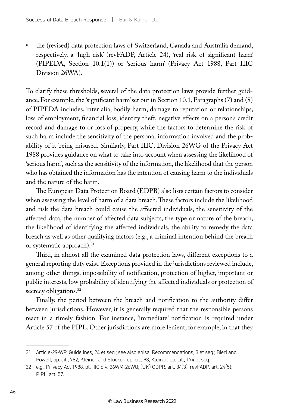• the (revised) data protection laws of Switzerland, Canada and Australia demand, respectively, a 'high risk' (revFADP, Article 24), 'real risk of significant harm' (PIPEDA, Section 10.1(1)) or 'serious harm' (Privacy Act 1988, Part IIIC Division 26WA).

To clarify these thresholds, several of the data protection laws provide further guidance. For example, the 'significant harm' set out in Section 10.1, Paragraphs (7) and (8) of PIPEDA includes, inter alia, bodily harm, damage to reputation or relationships, loss of employment, financial loss, identity theft, negative effects on a person's credit record and damage to or loss of property, while the factors to determine the risk of such harm include the sensitivity of the personal information involved and the probability of it being misused. Similarly, Part IIIC, Division 26WG of the Privacy Act 1988 provides guidance on what to take into account when assessing the likelihood of 'serious harm', such as the sensitivity of the information, the likelihood that the person who has obtained the information has the intention of causing harm to the individuals and the nature of the harm.

The European Data Protection Board (EDPB) also lists certain factors to consider when assessing the level of harm of a data breach. These factors include the likelihood and risk the data breach could cause the affected individuals, the sensitivity of the affected data, the number of affected data subjects, the type or nature of the breach, the likelihood of identifying the affected individuals, the ability to remedy the data breach as well as other qualifying factors (e.g., a criminal intention behind the breach or systematic approach).<sup>31</sup>

Third, in almost all the examined data protection laws, different exceptions to a general reporting duty exist. Exceptions provided in the jurisdictions reviewed include, among other things, impossibility of notification, protection of higher, important or public interests, low probability of identifying the affected individuals or protection of secrecy obligations.<sup>32</sup>

Finally, the period between the breach and notification to the authority differ between jurisdictions. However, it is generally required that the responsible persons react in a timely fashion. For instance, 'immediate' notification is required under Article 57 of the PIPL. Other jurisdictions are more lenient, for example, in that they

<sup>31</sup> Article-29-WP, Guidelines, 24 et seq.; see also enisa, Recommendations, 3 et seq.; Bieri and Powell, op. cit., 782; Kleiner and Stocker, op. cit., 93; Kleiner, op. cit., 174 et seq.

<sup>32</sup> e.g., Privacy Act 1988, pt. IIIC div. 26WM-26WQ; (UK) GDPR, art. 34(3); revFADP, art. 24(5); PIPL, art. 57.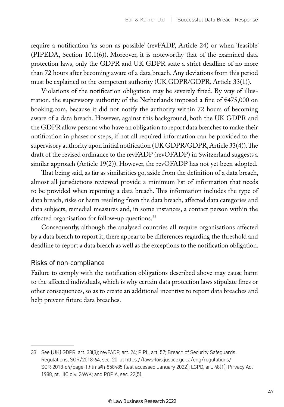require a notification 'as soon as possible' (revFADP, Article 24) or when 'feasible' (PIPEDA, Section 10.1(6)). Moreover, it is noteworthy that of the examined data protection laws, only the GDPR and UK GDPR state a strict deadline of no more than 72 hours after becoming aware of a data breach. Any deviations from this period must be explained to the competent authority (UK GDPR/GDPR, Article 33(1)).

Violations of the notification obligation may be severely fined. By way of illustration, the supervisory authority of the Netherlands imposed a fine of  $£475,000$  on booking.com, because it did not notify the authority within 72 hours of becoming aware of a data breach. However, against this background, both the UK GDPR and the GDPR allow persons who have an obligation to report data breaches to make their notification in phases or steps, if not all required information can be provided to the supervisory authority upon initial notification (UK GDPR/GDPR, Article 33(4)). The draft of the revised ordinance to the revFADP (revOFADP) in Switzerland suggests a similar approach (Article 19(2)). However, the revOFADP has not yet been adopted.

That being said, as far as similarities go, aside from the definition of a data breach, almost all jurisdictions reviewed provide a minimum list of information that needs to be provided when reporting a data breach. This information includes the type of data breach, risks or harm resulting from the data breach, affected data categories and data subjects, remedial measures and, in some instances, a contact person within the affected organisation for follow-up questions.<sup>33</sup>

Consequently, although the analysed countries all require organisations affected by a data breach to report it, there appear to be differences regarding the threshold and deadline to report a data breach as well as the exceptions to the notification obligation.

#### Risks of non-compliance

Failure to comply with the notification obligations described above may cause harm to the affected individuals, which is why certain data protection laws stipulate fines or other consequences, so as to create an additional incentive to report data breaches and help prevent future data breaches.

<sup>33</sup> See (UK) GDPR, art. 33(3); revFADP, art. 24; PIPL, art. 57; Breach of Security Safeguards Regulations, SOR/2018-64, sec. 20, at https://laws-lois.justice.gc.ca/eng/regulations/ SOR-2018-64/page-1.html#h-858485 (last accessed January 2022); LGPD, art. 48(1); Privacy Act 1988, pt. IIIC div. 26WK; and POPIA, sec. 22(5).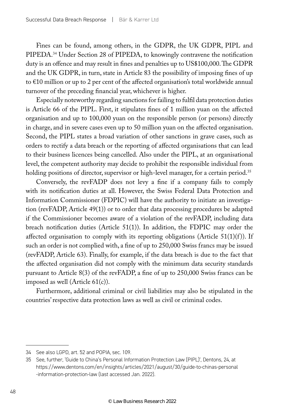Fines can be found, among others, in the GDPR, the UK GDPR, PIPL and PIPEDA.34 Under Section 28 of PIPEDA, to knowingly contravene the notification duty is an offence and may result in fines and penalties up to US\$100,000. The GDPR and the UK GDPR, in turn, state in Article 83 the possibility of imposing fines of up to €10 million or up to 2 per cent of the affected organisation's total worldwide annual turnover of the preceding financial year, whichever is higher.

Especially noteworthy regarding sanctions for failing to fulfil data protection duties is Article 66 of the PIPL. First, it stipulates fines of 1 million yuan on the affected organisation and up to 100,000 yuan on the responsible person (or persons) directly in charge, and in severe cases even up to 50 million yuan on the affected organisation. Second, the PIPL states a broad variation of other sanctions in grave cases, such as orders to rectify a data breach or the reporting of affected organisations that can lead to their business licences being cancelled. Also under the PIPL, at an organisational level, the competent authority may decide to prohibit the responsible individual from holding positions of director, supervisor or high-level manager, for a certain period.<sup>35</sup>

Conversely, the revFADP does not levy a fine if a company fails to comply with its notification duties at all. However, the Swiss Federal Data Protection and Information Commissioner (FDPIC) will have the authority to initiate an investigation (revFADP, Article 49(1)) or to order that data processing procedures be adapted if the Commissioner becomes aware of a violation of the revFADP, including data breach notification duties (Article 51(1)). In addition, the FDPIC may order the affected organisation to comply with its reporting obligations (Article 51(1)(f)). If such an order is not complied with, a fine of up to 250,000 Swiss francs may be issued (revFADP, Article 63). Finally, for example, if the data breach is due to the fact that the affected organisation did not comply with the minimum data security standards pursuant to Article 8(3) of the revFADP, a fine of up to 250,000 Swiss francs can be imposed as well (Article 61(c)).

Furthermore, additional criminal or civil liabilities may also be stipulated in the countries' respective data protection laws as well as civil or criminal codes.

<sup>34</sup> See also LGPD, art. 52 and POPIA, sec. 109.

<sup>35</sup> See, further, 'Guide to China's Personal Information Protection Law (PIPL)', Dentons, 24, at https://www.dentons.com/en/insights/articles/2021/august/30/guide-to-chinas-personal -information-protection-law (last accessed Jan. 2022).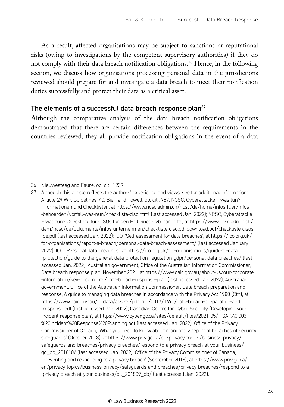As a result, affected organisations may be subject to sanctions or reputational risks (owing to investigations by the competent supervisory authorities) if they do not comply with their data breach notification obligations.<sup>36</sup> Hence, in the following section, we discuss how organisations processing personal data in the jurisdictions reviewed should prepare for and investigate a data breach to meet their notification duties successfully and protect their data as a critical asset.

#### The elements of a successful data breach response plan $37$

Although the comparative analysis of the data breach notification obligations demonstrated that there are certain differences between the requirements in the countries reviewed, they all provide notification obligations in the event of a data

<sup>36</sup> Nieuwesteeg and Faure, op. cit., 1239.

<sup>37</sup> Although this article reflects the authors' experience and views, see for additional information: Article-29-WP, Guidelines, 40; Bieri and Powell, op. cit., 787; NCSC, Cyberattacke – was tun? Informationen und Checklisten, at https://www.ncsc.admin.ch/ncsc/de/home/infos-fuer/infos -behoerden/vorfall-was-nun/checkliste-ciso.html (last accessed Jan. 2022); NCSC, Cyberattacke – was tun? Checkliste für CISOs für den Fall eines Cyberangriffs, at https://www.ncsc.admin.ch/ dam/ncsc/de/dokumente/infos-unternehmen/checkliste-ciso.pdf.download.pdf/checkliste-cisos -de.pdf (last accessed Jan. 2022); ICO, 'Self-assessment for data breaches', at https://ico.org.uk/ for-organisations/report-a-breach/personal-data-breach-assessment/ (last accessed January 2022); ICO, 'Personal data breaches', at https://ico.org.uk/for-organisations/guide-to-data -protection/guide-to-the-general-data-protection-regulation-gdpr/personal-data-breaches/ (last accessed Jan. 2022); Australian government, Office of the Australian Information Commissioner, Data breach response plan, November 2021, at https://www.oaic.gov.au/about-us/our-corporate -information/key-documents/data-breach-response-plan (last accessed Jan. 2022); Australian government, Office of the Australian Information Commissioner, Data breach preparation and response, A guide to managing data breaches in accordance with the Privacy Act 1988 (Cth), at https://www.oaic.gov.au/\_\_data/assets/pdf\_file/0017/1691/data-breach-preparation-and -response.pdf (last accessed Jan. 2022); Canadian Centre for Cyber Security, 'Developing your incident response plan', at https://www.cyber.gc.ca/sites/default/files/2021-05/ITSAP.40.003 %20Incident%20Response%20Planning.pdf (last accessed Jan. 2022); Office of the Privacy Commissioner of Canada, 'What you need to know about mandatory report of breaches of security safeguards' (October 2018), at https://www.priv.gc.ca/en/privacy-topics/business-privacy/ safeguards-and-breaches/privacy-breaches/respond-to-a-privacy-breach-at-your-business/ gd\_pb\_201810/ (last accessed Jan. 2022); Office of the Privacy Commissioner of Canada, 'Preventing and responding to a privacy breach' (September 2018), at https://www.priv.gc.ca/ en/privacy-topics/business-privacy/safeguards-and-breaches/privacy-breaches/respond-to-a -privacy-breach-at-your-business/c-t\_201809\_pb/ (last accessed Jan. 2022).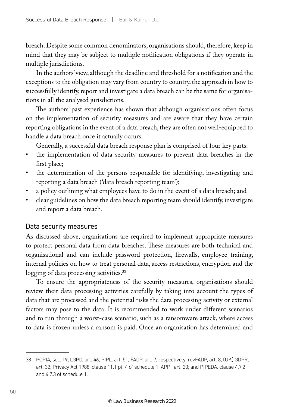breach. Despite some common denominators, organisations should, therefore, keep in mind that they may be subject to multiple notification obligations if they operate in multiple jurisdictions.

In the authors' view, although the deadline and threshold for a notification and the exceptions to the obligation may vary from country to country, the approach in how to successfully identify, report and investigate a data breach can be the same for organisations in all the analysed jurisdictions.

The authors' past experience has shown that although organisations often focus on the implementation of security measures and are aware that they have certain reporting obligations in the event of a data breach, they are often not well-equipped to handle a data breach once it actually occurs.

Generally, a successful data breach response plan is comprised of four key parts:

- the implementation of data security measures to prevent data breaches in the first place;
- the determination of the persons responsible for identifying, investigating and reporting a data breach ('data breach reporting team');
- a policy outlining what employees have to do in the event of a data breach; and
- clear guidelines on how the data breach reporting team should identify, investigate and report a data breach.

#### Data security measures

As discussed above, organisations are required to implement appropriate measures to protect personal data from data breaches. These measures are both technical and organisational and can include password protection, firewalls, employee training, internal policies on how to treat personal data, access restrictions, encryption and the logging of data processing activities.<sup>38</sup>

To ensure the appropriateness of the security measures, organisations should review their data processing activities carefully by taking into account the types of data that are processed and the potential risks the data processing activity or external factors may pose to the data. It is recommended to work under different scenarios and to run through a worst-case scenario, such as a ransomware attack, where access to data is frozen unless a ransom is paid. Once an organisation has determined and

<sup>38</sup> POPIA, sec. 19; LGPD, art. 46; PIPL, art. 51; FADP, art. 7; respectively; revFADP, art. 8; (UK) GDPR, art. 32; Privacy Act 1988, clause 11.1 pt. 4 of schedule 1; APPI, art. 20; and PIPEDA, clause 4.7.2 and 4.7.3 of schedule 1.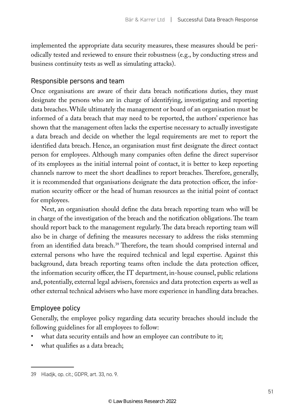implemented the appropriate data security measures, these measures should be periodically tested and reviewed to ensure their robustness (e.g., by conducting stress and business continuity tests as well as simulating attacks).

#### Responsible persons and team

Once organisations are aware of their data breach notifications duties, they must designate the persons who are in charge of identifying, investigating and reporting data breaches. While ultimately the management or board of an organisation must be informed of a data breach that may need to be reported, the authors' experience has shown that the management often lacks the expertise necessary to actually investigate a data breach and decide on whether the legal requirements are met to report the identified data breach. Hence, an organisation must first designate the direct contact person for employees. Although many companies often define the direct supervisor of its employees as the initial internal point of contact, it is better to keep reporting channels narrow to meet the short deadlines to report breaches. Therefore, generally, it is recommended that organisations designate the data protection officer, the information security officer or the head of human resources as the initial point of contact for employees.

Next, an organisation should define the data breach reporting team who will be in charge of the investigation of the breach and the notification obligations. The team should report back to the management regularly. The data breach reporting team will also be in charge of defining the measures necessary to address the risks stemming from an identified data breach.<sup>39</sup> Therefore, the team should comprised internal and external persons who have the required technical and legal expertise. Against this background, data breach reporting teams often include the data protection officer, the information security officer, the IT department, in-house counsel, public relations and, potentially, external legal advisers, forensics and data protection experts as well as other external technical advisers who have more experience in handling data breaches.

#### Employee policy

Generally, the employee policy regarding data security breaches should include the following guidelines for all employees to follow:

- what data security entails and how an employee can contribute to it;
- what qualifies as a data breach;

<sup>39</sup> Hladjk, op. cit.; GDPR, art. 33, no. 9.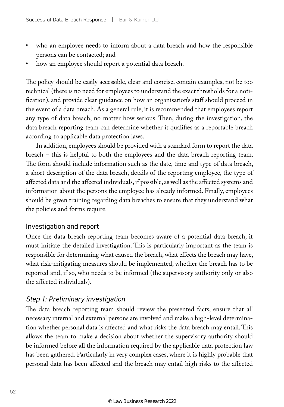- who an employee needs to inform about a data breach and how the responsible persons can be contacted; and
- how an employee should report a potential data breach.

The policy should be easily accessible, clear and concise, contain examples, not be too technical (there is no need for employees to understand the exact thresholds for a notification), and provide clear guidance on how an organisation's staff should proceed in the event of a data breach. As a general rule, it is recommended that employees report any type of data breach, no matter how serious. Then, during the investigation, the data breach reporting team can determine whether it qualifies as a reportable breach according to applicable data protection laws.

In addition, employees should be provided with a standard form to report the data breach – this is helpful to both the employees and the data breach reporting team. The form should include information such as the date, time and type of data breach, a short description of the data breach, details of the reporting employee, the type of affected data and the affected individuals, if possible, as well as the affected systems and information about the persons the employee has already informed. Finally, employees should be given training regarding data breaches to ensure that they understand what the policies and forms require.

#### Investigation and report

Once the data breach reporting team becomes aware of a potential data breach, it must initiate the detailed investigation. This is particularly important as the team is responsible for determining what caused the breach, what effects the breach may have, what risk-mitigating measures should be implemented, whether the breach has to be reported and, if so, who needs to be informed (the supervisory authority only or also the affected individuals).

#### *Step 1: Preliminary investigation*

The data breach reporting team should review the presented facts, ensure that all necessary internal and external persons are involved and make a high-level determination whether personal data is affected and what risks the data breach may entail. This allows the team to make a decision about whether the supervisory authority should be informed before all the information required by the applicable data protection law has been gathered. Particularly in very complex cases, where it is highly probable that personal data has been affected and the breach may entail high risks to the affected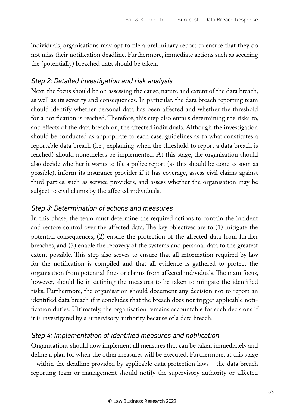individuals, organisations may opt to file a preliminary report to ensure that they do not miss their notification deadline. Furthermore, immediate actions such as securing the (potentially) breached data should be taken.

#### *Step 2: Detailed investigation and risk analysis*

Next, the focus should be on assessing the cause, nature and extent of the data breach, as well as its severity and consequences. In particular, the data breach reporting team should identify whether personal data has been affected and whether the threshold for a notification is reached. Therefore, this step also entails determining the risks to, and effects of the data breach on, the affected individuals. Although the investigation should be conducted as appropriate to each case, guidelines as to what constitutes a reportable data breach (i.e., explaining when the threshold to report a data breach is reached) should nonetheless be implemented. At this stage, the organisation should also decide whether it wants to file a police report (as this should be done as soon as possible), inform its insurance provider if it has coverage, assess civil claims against third parties, such as service providers, and assess whether the organisation may be subject to civil claims by the affected individuals.

#### *Step 3: Determination of actions and measures*

In this phase, the team must determine the required actions to contain the incident and restore control over the affected data. The key objectives are to (1) mitigate the potential consequences, (2) ensure the protection of the affected data from further breaches, and (3) enable the recovery of the systems and personal data to the greatest extent possible. This step also serves to ensure that all information required by law for the notification is compiled and that all evidence is gathered to protect the organisation from potential fines or claims from affected individuals. The main focus, however, should lie in defining the measures to be taken to mitigate the identified risks. Furthermore, the organisation should document any decision not to report an identified data breach if it concludes that the breach does not trigger applicable notification duties. Ultimately, the organisation remains accountable for such decisions if it is investigated by a supervisory authority because of a data breach.

#### *Step 4: Implementation of identified measures and notification*

Organisations should now implement all measures that can be taken immediately and define a plan for when the other measures will be executed. Furthermore, at this stage – within the deadline provided by applicable data protection laws – the data breach reporting team or management should notify the supervisory authority or affected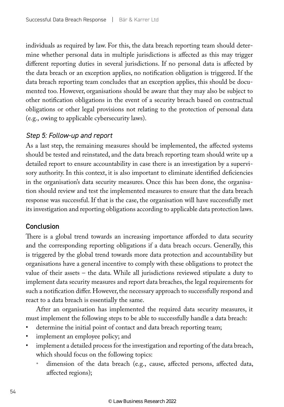individuals as required by law. For this, the data breach reporting team should determine whether personal data in multiple jurisdictions is affected as this may trigger different reporting duties in several jurisdictions. If no personal data is affected by the data breach or an exception applies, no notification obligation is triggered. If the data breach reporting team concludes that an exception applies, this should be documented too. However, organisations should be aware that they may also be subject to other notification obligations in the event of a security breach based on contractual obligations or other legal provisions not relating to the protection of personal data (e.g., owing to applicable cybersecurity laws).

#### *Step 5: Follow-up and report*

As a last step, the remaining measures should be implemented, the affected systems should be tested and reinstated, and the data breach reporting team should write up a detailed report to ensure accountability in case there is an investigation by a supervisory authority. In this context, it is also important to eliminate identified deficiencies in the organisation's data security measures. Once this has been done, the organisation should review and test the implemented measures to ensure that the data breach response was successful. If that is the case, the organisation will have successfully met its investigation and reporting obligations according to applicable data protection laws.

#### Conclusion

There is a global trend towards an increasing importance afforded to data security and the corresponding reporting obligations if a data breach occurs. Generally, this is triggered by the global trend towards more data protection and accountability but organisations have a general incentive to comply with these obligations to protect the value of their assets – the data. While all jurisdictions reviewed stipulate a duty to implement data security measures and report data breaches, the legal requirements for such a notification differ. However, the necessary approach to successfully respond and react to a data breach is essentially the same.

After an organisation has implemented the required data security measures, it must implement the following steps to be able to successfully handle a data breach:

- determine the initial point of contact and data breach reporting team;
- implement an employee policy; and
- implement a detailed process for the investigation and reporting of the data breach, which should focus on the following topics:
	- dimension of the data breach (e.g., cause, affected persons, affected data, affected regions);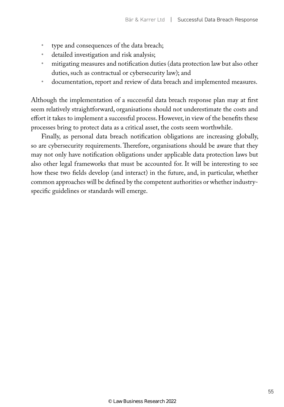- type and consequences of the data breach;
- detailed investigation and risk analysis;
- mitigating measures and notification duties (data protection law but also other duties, such as contractual or cybersecurity law); and
- documentation, report and review of data breach and implemented measures.

Although the implementation of a successful data breach response plan may at first seem relatively straightforward, organisations should not underestimate the costs and effort it takes to implement a successful process. However, in view of the benefits these processes bring to protect data as a critical asset, the costs seem worthwhile.

Finally, as personal data breach notification obligations are increasing globally, so are cybersecurity requirements. Therefore, organisations should be aware that they may not only have notification obligations under applicable data protection laws but also other legal frameworks that must be accounted for. It will be interesting to see how these two fields develop (and interact) in the future, and, in particular, whether common approaches will be defined by the competent authorities or whether industryspecific guidelines or standards will emerge.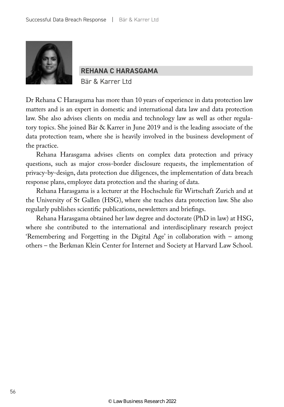

**REHANA C HARASGAMA**

Bär & Karrer Ltd

Dr Rehana C Harasgama has more than 10 years of experience in data protection law matters and is an expert in domestic and international data law and data protection law. She also advises clients on media and technology law as well as other regulatory topics. She joined Bär & Karrer in June 2019 and is the leading associate of the data protection team, where she is heavily involved in the business development of the practice.

Rehana Harasgama advises clients on complex data protection and privacy questions, such as major cross-border disclosure requests, the implementation of privacy-by-design, data protection due diligences, the implementation of data breach response plans, employee data protection and the sharing of data.

Rehana Harasgama is a lecturer at the Hochschule für Wirtschaft Zurich and at the University of St Gallen (HSG), where she teaches data protection law. She also regularly publishes scientific publications, newsletters and briefings.

Rehana Harasgama obtained her law degree and doctorate (PhD in law) at HSG, where she contributed to the international and interdisciplinary research project 'Remembering and Forgetting in the Digital Age' in collaboration with – among others – the Berkman Klein Center for Internet and Society at Harvard Law School.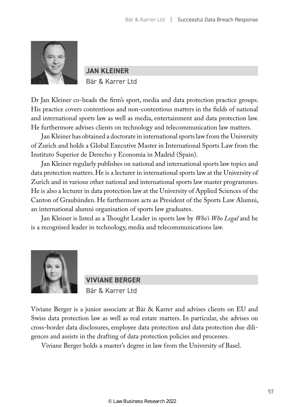

**JAN KLEINER** Bär & Karrer Ltd

Dr Jan Kleiner co-heads the firm's sport, media and data protection practice groups. His practice covers contentious and non-contentious matters in the fields of national and international sports law as well as media, entertainment and data protection law. He furthermore advises clients on technology and telecommunication law matters.

Jan Kleiner has obtained a doctorate in international sports law from the University of Zurich and holds a Global Executive Master in International Sports Law from the Instituto Superior de Derecho y Economia in Madrid (Spain).

Jan Kleiner regularly publishes on national and international sports law topics and data protection matters. He is a lecturer in international sports law at the University of Zurich and in various other national and international sports law master programmes. He is also a lecturer in data protection law at the University of Applied Sciences of the Canton of Graubünden. He furthermore acts as President of the Sports Law Alumni, an international alumni organisation of sports law graduates.

Jan Kleiner is listed as a Thought Leader in sports law by *Who's Who Legal* and he is a recognised leader in technology, media and telecommunications law.



**VIVIANE BERGER** Bär & Karrer Ltd

Viviane Berger is a junior associate at Bär & Karrer and advises clients on EU and Swiss data protection law as well as real estate matters. In particular, she advises on cross-border data disclosures, employee data protection and data protection due diligences and assists in the drafting of data protection policies and processes.

Viviane Berger holds a master's degree in law from the University of Basel.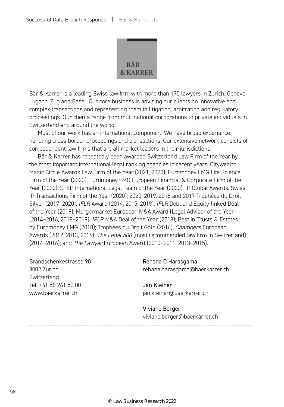

Bär & Karrer is a leading Swiss law firm with more than 170 lawyers in Zurich, Geneva, Lugano, Zug and Basel. Our core business is advising our clients on innovative and complex transactions and representing them in litigation, arbitration and regulatory proceedings. Our clients range from multinational corporations to private individuals in Switzerland and around the world.

Most of our work has an international component. We have broad experience handling cross-border proceedings and transactions. Our extensive network consists of correspondent law firms that are all market leaders in their jurisdictions.

Bär & Karrer has repeatedly been awarded Switzerland Law Firm of the Year by the most important international legal ranking agencies in recent years: Citywealth Magic Circle Awards Law Firm of the Year (2021, 2022); Euromoney LMG Life Science Firm of the Year (2020); Euromoney LMG European Financial & Corporate Firm of the Year (2020); STEP International Legal Team of the Year (2020); IP Global Awards, Swiss IP-Transactions Firm of the Year (2020); 2020, 2019, 2018 and 2017 Trophées du Droit Silver (2017–2020); *IFLR* Award (2014, 2015, 2019); *IFLR* Debt and Equity-linked Deal of the Year (2019); Mergermarket European M&A Award (Legal Adviser of the Year) (2014–2016, 2018–2019); *IFLR* M&A Deal of the Year (2018); Best in Trusts & Estates by Euromoney LMG (2018); Trophées du Droit Gold (2016); *Chambers* European Awards (2012, 2013, 2016); *The Legal 500* (most recommended law firm in Switzerland) (2014–2016); and *The Lawyer* European Award (2010–2011, 2013–2015).

Brandschenkestrasse 90 8002 Zurich **Switzerland** Tel: +41 58 261 50 00 www.baerkarrer.ch

Rehana C Harasgama rehana.harasgama@baerkarrer.ch

Jan Kleiner jan.kleiner@baerkarrer.ch

Viviane Berger viviane.berger@baerkarrer.ch